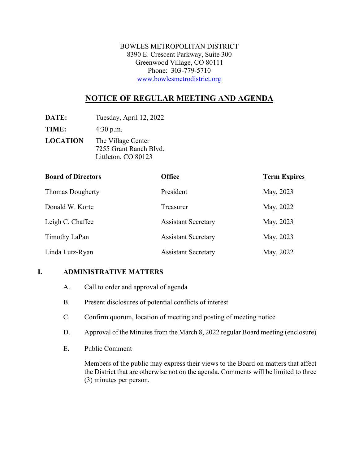BOWLES METROPOLITAN DISTRICT 8390 E. Crescent Parkway, Suite 300 Greenwood Village, CO 80111 Phone: 303-779-5710 [www.bowlesmetrodistrict.org](http://www.bowlesmetrodistrict.org/)

# **NOTICE OF REGULAR MEETING AND AGENDA**

**DATE:** Tuesday, April 12, 2022

**TIME:** 4:30 p.m.

**LOCATION** The Village Center 7255 Grant Ranch Blvd. Littleton, CO 80123

| <b>Board of Directors</b> | <b>Office</b>              | <b>Term Expires</b> |
|---------------------------|----------------------------|---------------------|
| <b>Thomas Dougherty</b>   | President                  | May, 2023           |
| Donald W. Korte           | Treasurer                  | May, 2022           |
| Leigh C. Chaffee          | <b>Assistant Secretary</b> | May, 2023           |
| Timothy LaPan             | <b>Assistant Secretary</b> | May, 2023           |
| Linda Lutz-Ryan           | <b>Assistant Secretary</b> | May, 2022           |

## **I. ADMINISTRATIVE MATTERS**

- A. Call to order and approval of agenda
- B. Present disclosures of potential conflicts of interest
- C. Confirm quorum, location of meeting and posting of meeting notice
- D. Approval of the Minutes from the March 8, 2022 regular Board meeting (enclosure)
- E. Public Comment

Members of the public may express their views to the Board on matters that affect the District that are otherwise not on the agenda. Comments will be limited to three (3) minutes per person.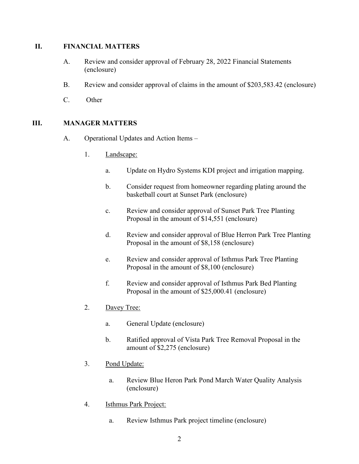#### **II. FINANCIAL MATTERS**

- A. Review and consider approval of February 28, 2022 Financial Statements (enclosure)
- B. Review and consider approval of claims in the amount of \$203,583.42 (enclosure)
- C. Other

## **III. MANAGER MATTERS**

- A. Operational Updates and Action Items
	- 1. Landscape:
		- a. Update on Hydro Systems KDI project and irrigation mapping.
		- b. Consider request from homeowner regarding plating around the basketball court at Sunset Park (enclosure)
		- c. Review and consider approval of Sunset Park Tree Planting Proposal in the amount of \$14,551 (enclosure)
		- d. Review and consider approval of Blue Herron Park Tree Planting Proposal in the amount of \$8,158 (enclosure)
		- e. Review and consider approval of Isthmus Park Tree Planting Proposal in the amount of \$8,100 (enclosure)
		- f. Review and consider approval of Isthmus Park Bed Planting Proposal in the amount of \$25,000.41 (enclosure)
	- 2. Davey Tree:
		- a. General Update (enclosure)
		- b. Ratified approval of Vista Park Tree Removal Proposal in the amount of \$2,275 (enclosure)
	- 3. Pond Update:
		- a. Review Blue Heron Park Pond March Water Quality Analysis (enclosure)
	- 4. Isthmus Park Project:
		- a. Review Isthmus Park project timeline (enclosure)